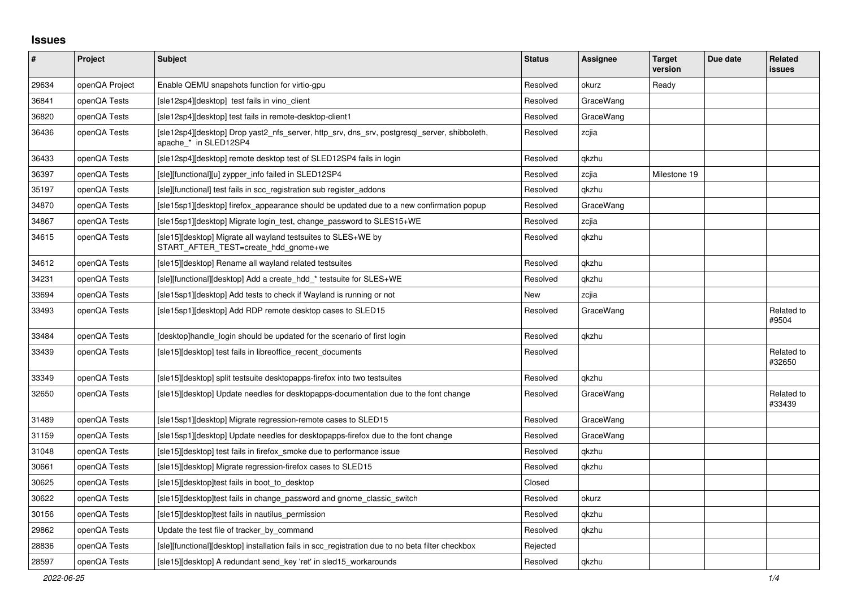## **Issues**

| #     | Project        | <b>Subject</b>                                                                                                        | <b>Status</b> | <b>Assignee</b> | <b>Target</b><br>version | Due date | Related<br><b>issues</b> |
|-------|----------------|-----------------------------------------------------------------------------------------------------------------------|---------------|-----------------|--------------------------|----------|--------------------------|
| 29634 | openQA Project | Enable QEMU snapshots function for virtio-gpu                                                                         | Resolved      | okurz           | Ready                    |          |                          |
| 36841 | openQA Tests   | [sle12sp4][desktop] test fails in vino client                                                                         | Resolved      | GraceWang       |                          |          |                          |
| 36820 | openQA Tests   | [sle12sp4][desktop] test fails in remote-desktop-client1                                                              | Resolved      | GraceWang       |                          |          |                          |
| 36436 | openQA Tests   | [sle12sp4][desktop] Drop yast2_nfs_server, http_srv, dns_srv, postgresql_server, shibboleth,<br>apache * in SLED12SP4 | Resolved      | zcjia           |                          |          |                          |
| 36433 | openQA Tests   | [sle12sp4][desktop] remote desktop test of SLED12SP4 fails in login                                                   | Resolved      | qkzhu           |                          |          |                          |
| 36397 | openQA Tests   | [sle][functional][u] zypper info failed in SLED12SP4                                                                  | Resolved      | zcjia           | Milestone 19             |          |                          |
| 35197 | openQA Tests   | [sle][functional] test fails in scc registration sub register addons                                                  | Resolved      | gkzhu           |                          |          |                          |
| 34870 | openQA Tests   | [sle15sp1][desktop] firefox appearance should be updated due to a new confirmation popup                              | Resolved      | GraceWang       |                          |          |                          |
| 34867 | openQA Tests   | [sle15sp1][desktop] Migrate login_test, change_password to SLES15+WE                                                  | Resolved      | zcjia           |                          |          |                          |
| 34615 | openQA Tests   | [sle15][desktop] Migrate all wayland testsuites to SLES+WE by<br>START_AFTER_TEST=create_hdd_gnome+we                 | Resolved      | qkzhu           |                          |          |                          |
| 34612 | openQA Tests   | [sle15][desktop] Rename all wayland related testsuites                                                                | Resolved      | gkzhu           |                          |          |                          |
| 34231 | openQA Tests   | [sle][functional][desktop] Add a create hdd * testsuite for SLES+WE                                                   | Resolved      | gkzhu           |                          |          |                          |
| 33694 | openQA Tests   | [sle15sp1][desktop] Add tests to check if Wayland is running or not                                                   | New           | zcjia           |                          |          |                          |
| 33493 | openQA Tests   | [sle15sp1][desktop] Add RDP remote desktop cases to SLED15                                                            | Resolved      | GraceWang       |                          |          | Related to<br>#9504      |
| 33484 | openQA Tests   | [desktop]handle login should be updated for the scenario of first login                                               | Resolved      | qkzhu           |                          |          |                          |
| 33439 | openQA Tests   | [sle15][desktop] test fails in libreoffice recent documents                                                           | Resolved      |                 |                          |          | Related to<br>#32650     |
| 33349 | openQA Tests   | [sle15][desktop] split testsuite desktopapps-firefox into two testsuites                                              | Resolved      | qkzhu           |                          |          |                          |
| 32650 | openQA Tests   | [sle15][desktop] Update needles for desktopapps-documentation due to the font change                                  | Resolved      | GraceWang       |                          |          | Related to<br>#33439     |
| 31489 | openQA Tests   | [sle15sp1][desktop] Migrate regression-remote cases to SLED15                                                         | Resolved      | GraceWang       |                          |          |                          |
| 31159 | openQA Tests   | [sle15sp1][desktop] Update needles for desktopapps-firefox due to the font change                                     | Resolved      | GraceWang       |                          |          |                          |
| 31048 | openQA Tests   | [sle15][desktop] test fails in firefox_smoke due to performance issue                                                 | Resolved      | qkzhu           |                          |          |                          |
| 30661 | openQA Tests   | [sle15][desktop] Migrate regression-firefox cases to SLED15                                                           | Resolved      | qkzhu           |                          |          |                          |
| 30625 | openQA Tests   | [sle15][desktop]test fails in boot to desktop                                                                         | Closed        |                 |                          |          |                          |
| 30622 | openQA Tests   | [sle15][desktop]test fails in change password and gnome classic switch                                                | Resolved      | okurz           |                          |          |                          |
| 30156 | openQA Tests   | [sle15][desktop]test fails in nautilus permission                                                                     | Resolved      | gkzhu           |                          |          |                          |
| 29862 | openQA Tests   | Update the test file of tracker_by_command                                                                            | Resolved      | qkzhu           |                          |          |                          |
| 28836 | openQA Tests   | [sle][functional][desktop] installation fails in scc_registration due to no beta filter checkbox                      | Rejected      |                 |                          |          |                          |
| 28597 | openQA Tests   | [sle15][desktop] A redundant send key 'ret' in sled15 workarounds                                                     | Resolved      | gkzhu           |                          |          |                          |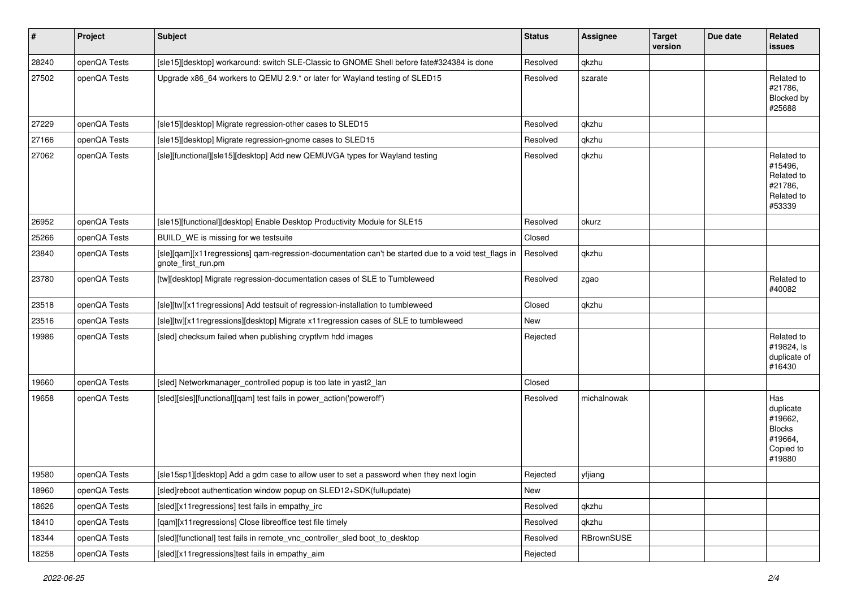| $\vert$ # | Project      | <b>Subject</b>                                                                                                             | <b>Status</b> | <b>Assignee</b> | <b>Target</b><br>version | Due date | Related<br><b>issues</b>                                                       |
|-----------|--------------|----------------------------------------------------------------------------------------------------------------------------|---------------|-----------------|--------------------------|----------|--------------------------------------------------------------------------------|
| 28240     | openQA Tests | [sle15][desktop] workaround: switch SLE-Classic to GNOME Shell before fate#324384 is done                                  | Resolved      | qkzhu           |                          |          |                                                                                |
| 27502     | openQA Tests | Upgrade x86_64 workers to QEMU 2.9.* or later for Wayland testing of SLED15                                                | Resolved      | szarate         |                          |          | Related to<br>#21786,<br>Blocked by<br>#25688                                  |
| 27229     | openQA Tests | [sle15][desktop] Migrate regression-other cases to SLED15                                                                  | Resolved      | qkzhu           |                          |          |                                                                                |
| 27166     | openQA Tests | [sle15][desktop] Migrate regression-gnome cases to SLED15                                                                  | Resolved      | qkzhu           |                          |          |                                                                                |
| 27062     | openQA Tests | [sle][functional][sle15][desktop] Add new QEMUVGA types for Wayland testing                                                | Resolved      | qkzhu           |                          |          | Related to<br>#15496,<br>Related to<br>#21786,<br>Related to<br>#53339         |
| 26952     | openQA Tests | [sle15][functional][desktop] Enable Desktop Productivity Module for SLE15                                                  | Resolved      | okurz           |                          |          |                                                                                |
| 25266     | openQA Tests | BUILD_WE is missing for we testsuite                                                                                       | Closed        |                 |                          |          |                                                                                |
| 23840     | openQA Tests | [sle][qam][x11regressions] qam-regression-documentation can't be started due to a void test_flags in<br>gnote_first_run.pm | Resolved      | qkzhu           |                          |          |                                                                                |
| 23780     | openQA Tests | [tw][desktop] Migrate regression-documentation cases of SLE to Tumbleweed                                                  | Resolved      | zgao            |                          |          | Related to<br>#40082                                                           |
| 23518     | openQA Tests | [sle][tw][x11regressions] Add testsuit of regression-installation to tumbleweed                                            | Closed        | qkzhu           |                          |          |                                                                                |
| 23516     | openQA Tests | [sle][tw][x11regressions][desktop] Migrate x11regression cases of SLE to tumbleweed                                        | New           |                 |                          |          |                                                                                |
| 19986     | openQA Tests | [sled] checksum failed when publishing cryptlym hdd images                                                                 | Rejected      |                 |                          |          | Related to<br>#19824, Is<br>duplicate of<br>#16430                             |
| 19660     | openQA Tests | [sled] Networkmanager_controlled popup is too late in yast2_lan                                                            | Closed        |                 |                          |          |                                                                                |
| 19658     | openQA Tests | [sled][sles][functional][qam] test fails in power_action('poweroff')                                                       | Resolved      | michalnowak     |                          |          | Has<br>duplicate<br>#19662,<br><b>Blocks</b><br>#19664,<br>Copied to<br>#19880 |
| 19580     | openQA Tests | [sle15sp1][desktop] Add a gdm case to allow user to set a password when they next login                                    | Rejected      | yfjiang         |                          |          |                                                                                |
| 18960     | openQA Tests | [sled]reboot authentication window popup on SLED12+SDK(fullupdate)                                                         | New           |                 |                          |          |                                                                                |
| 18626     | openQA Tests | [sled][x11 regressions] test fails in empathy_irc                                                                          | Resolved      | qkzhu           |                          |          |                                                                                |
| 18410     | openQA Tests | [qam][x11regressions] Close libreoffice test file timely                                                                   | Resolved      | qkzhu           |                          |          |                                                                                |
| 18344     | openQA Tests | [sled][functional] test fails in remote_vnc_controller_sled boot_to_desktop                                                | Resolved      | RBrownSUSE      |                          |          |                                                                                |
| 18258     | openQA Tests | [sled][x11regressions]test fails in empathy_aim                                                                            | Rejected      |                 |                          |          |                                                                                |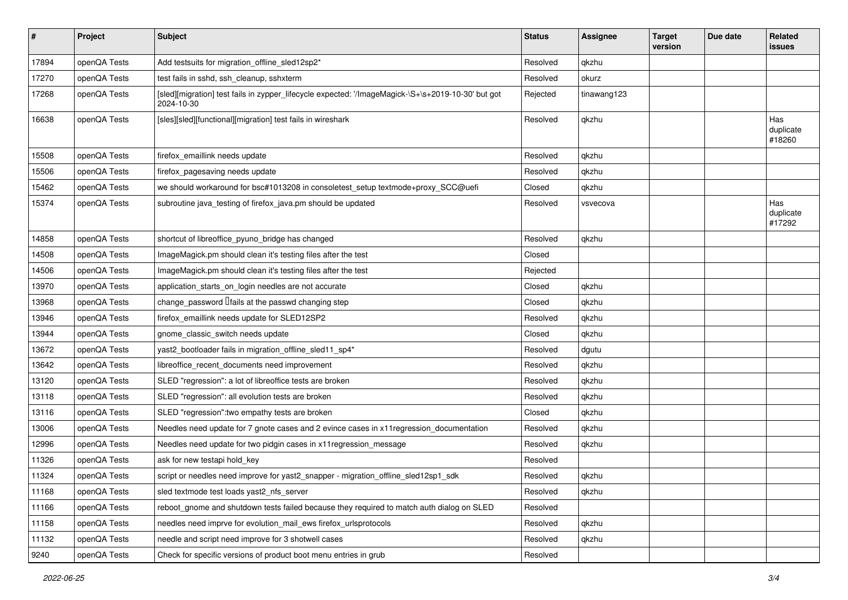| $\sharp$ | Project      | Subject                                                                                                          | <b>Status</b> | <b>Assignee</b> | <b>Target</b><br>version | Due date | Related<br>issues          |
|----------|--------------|------------------------------------------------------------------------------------------------------------------|---------------|-----------------|--------------------------|----------|----------------------------|
| 17894    | openQA Tests | Add testsuits for migration_offline_sled12sp2*                                                                   | Resolved      | gkzhu           |                          |          |                            |
| 17270    | openQA Tests | test fails in sshd, ssh cleanup, sshxterm                                                                        | Resolved      | okurz           |                          |          |                            |
| 17268    | openQA Tests | [sled][migration] test fails in zypper_lifecycle expected: '/ImageMagick-\S+\s+2019-10-30' but got<br>2024-10-30 | Rejected      | tinawang123     |                          |          |                            |
| 16638    | openQA Tests | [sles][sled][functional][migration] test fails in wireshark                                                      | Resolved      | qkzhu           |                          |          | Has<br>duplicate<br>#18260 |
| 15508    | openQA Tests | firefox emaillink needs update                                                                                   | Resolved      | qkzhu           |                          |          |                            |
| 15506    | openQA Tests | firefox_pagesaving needs update                                                                                  | Resolved      | qkzhu           |                          |          |                            |
| 15462    | openQA Tests | we should workaround for bsc#1013208 in consoletest_setup textmode+proxy_SCC@uefi                                | Closed        | qkzhu           |                          |          |                            |
| 15374    | openQA Tests | subroutine java_testing of firefox_java.pm should be updated                                                     | Resolved      | vsvecova        |                          |          | Has<br>duplicate<br>#17292 |
| 14858    | openQA Tests | shortcut of libreoffice_pyuno_bridge has changed                                                                 | Resolved      | qkzhu           |                          |          |                            |
| 14508    | openQA Tests | ImageMagick.pm should clean it's testing files after the test                                                    | Closed        |                 |                          |          |                            |
| 14506    | openQA Tests | ImageMagick.pm should clean it's testing files after the test                                                    | Rejected      |                 |                          |          |                            |
| 13970    | openQA Tests | application_starts_on_login needles are not accurate                                                             | Closed        | qkzhu           |                          |          |                            |
| 13968    | openQA Tests | change password $\sqrt{\frac{1}{1}}$ at the passwd changing step                                                 | Closed        | qkzhu           |                          |          |                            |
| 13946    | openQA Tests | firefox_emaillink needs update for SLED12SP2                                                                     | Resolved      | qkzhu           |                          |          |                            |
| 13944    | openQA Tests | gnome_classic_switch needs update                                                                                | Closed        | qkzhu           |                          |          |                            |
| 13672    | openQA Tests | yast2_bootloader fails in migration_offline_sled11_sp4*                                                          | Resolved      | dgutu           |                          |          |                            |
| 13642    | openQA Tests | libreoffice_recent_documents need improvement                                                                    | Resolved      | qkzhu           |                          |          |                            |
| 13120    | openQA Tests | SLED "regression": a lot of libreoffice tests are broken                                                         | Resolved      | qkzhu           |                          |          |                            |
| 13118    | openQA Tests | SLED "regression": all evolution tests are broken                                                                | Resolved      | qkzhu           |                          |          |                            |
| 13116    | openQA Tests | SLED "regression": two empathy tests are broken                                                                  | Closed        | qkzhu           |                          |          |                            |
| 13006    | openQA Tests | Needles need update for 7 gnote cases and 2 evince cases in x11 regression_documentation                         | Resolved      | qkzhu           |                          |          |                            |
| 12996    | openQA Tests | Needles need update for two pidgin cases in x11 regression_message                                               | Resolved      | qkzhu           |                          |          |                            |
| 11326    | openQA Tests | ask for new testapi hold_key                                                                                     | Resolved      |                 |                          |          |                            |
| 11324    | openQA Tests | script or needles need improve for yast2_snapper - migration_offline_sled12sp1_sdk                               | Resolved      | akzhu           |                          |          |                            |
| 11168    | openQA Tests | sled textmode test loads yast2_nfs_server                                                                        | Resolved      | qkzhu           |                          |          |                            |
| 11166    | openQA Tests | reboot_gnome and shutdown tests failed because they required to match auth dialog on SLED                        | Resolved      |                 |                          |          |                            |
| 11158    | openQA Tests | needles need imprve for evolution_mail_ews firefox_urlsprotocols                                                 | Resolved      | qkzhu           |                          |          |                            |
| 11132    | openQA Tests | needle and script need improve for 3 shotwell cases                                                              | Resolved      | qkzhu           |                          |          |                            |
| 9240     | openQA Tests | Check for specific versions of product boot menu entries in grub                                                 | Resolved      |                 |                          |          |                            |